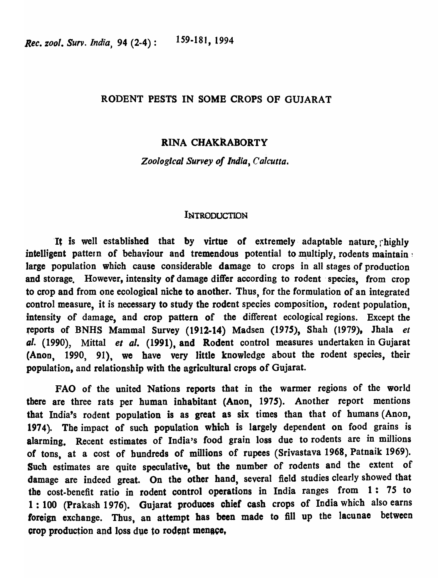### RODENT PESTS IN SOMB CROPS OF GUJARAT

### RINA CHAKRABORTY

*Zoological Survey of India, Calcutta.* 

### INTRODUCTION

It is well established that by virtue of extremely adaptable nature, rhighly intelligent pattern of behaviour and tremendous potential to multiply, rodents maintain: large population which cause considerable damage to crops in all stages of production and storage. However, intensity of damage differ according to rodent species, from crop to crop and from one ecological niche to another. Thus, for the formulation of an integrated control measure, it is necessary to study the rodent species composition, rodent population, intensity of damage, and crop pattern of the different ecological regions. Except the feports of BNHS Mammal Survey (1912-14) Madsen (1975), Shah (1979). Jhala *et*  al. (1990), Mittal *el al.* (1991), and Rodent control measures undertaken in Gujarat (Anon, 1990, 91), we have very little knowledge about the rodent species, their population, and relationship with the agricultural crops of Gujarat.

FAO of the united Nations reports that in the warmer regions of the world tbere are three rats per human inhabitant (Anon, 1975). Another report mentions that India's rodent population is as great as six times than that of humans (Anon, 1974). The impact of such population which is largely dependent on food grains is alarming. Recent estimates of India's food grain loss due to rodents are in millions of tons, at a cost of hundreds of millions of rupees (Srivastava 1968, Patnaik 1969). Such estimates are quite speculative, but the number of rodents and the extent of damage are indeed great. On the other hand, several field studies clearly showed that the cost-benefit ratio in rodent control operations in India ranges from 1: *7S* to 1 : 100 (Prakash 1976). Gujarat produces chief cash crops of India which also earns foreign exchange. Thus, an attempt has been made to fill up the lacunae between crop production and loss due to rodent menace,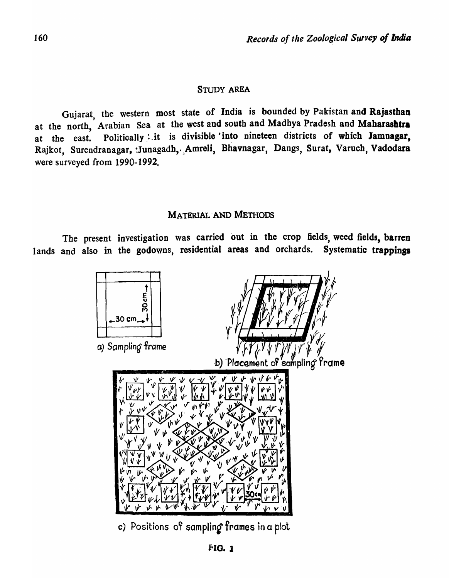## STUDY AREA

Gujarat, the western most state of India is bounded by Pakistan and Rajasthan at the north, Arabian Sea at the west and south and Madhya Pradesh and Maharashtra at the east. Politically it is divisible into nineteen districts of which Jamnagar, Rajkot, Surendranagar, :Junagadh, Amreli, Bhavnagar, Dangs, Surat, Varuch, Vadodara were surveyed from 1990-1992,

## MATERIAL'AND METHODS

The present investigation was carried out in the crop fields, weed fields, barren lands and also in the godowns, residential areas and orchards. Systematic trappings



c) Positions of sampling frames in a plot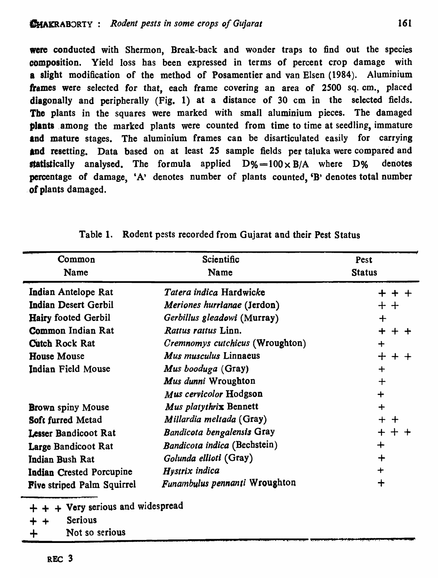were conducted with Shermon, Break-back and wonder traps to find out the species composition. Yield loss has been expressed in terms of percent crop damage with a slight modification of the method of Posamentier and van Elsen (1984). Aluminium frames were selected for that, each frame covering an area of 2500 sq. em., placed diagonally and peripherally (Fig. 1) at a distance of 30 em in the selected fields. The plants in the squares were marked with small aluminium pieces. The damaged plants ,among the marked plants were counted from time to time at seedling, immature and mature stages. The aluminium frames can be disarticulated easily for carrying and resetting. Data based on at least 25 sample fields per taluka were compared and statistically analysed. The formula applied  $D\% = 100 \times B/A$  where  $D\%$  denotes percentage of damage, 'A' denotes number of plants counted, 'B' denotes total number of plants damaged.

| Common<br>Name                    | Scientific<br>Name                     | Pest<br><b>Status</b> |  |
|-----------------------------------|----------------------------------------|-----------------------|--|
| Indian Antelope Rat               | Tatera indica Hardwicke                | + + +                 |  |
| <b>Indian Desert Gerbil</b>       | Meriones hurrianae (Jerdon)            | ᆠᆠ                    |  |
| <b>Hairy footed Gerbil</b>        | Gerbillus gleadowi (Murray)            | ┿                     |  |
| <b>Common Indian Rat</b>          | Rattus rattus Linn.                    | $+ +$                 |  |
| <b>Cutch Rock Rat</b>             | <i>Cremnomys cutchicus</i> (Wroughton) | $\div$                |  |
| <b>House Mouse</b>                | Mus musculus Linnaeus                  | $+ +$                 |  |
| Indian Field Mouse                | Mus booduga (Gray)                     | $\div$                |  |
|                                   | Mus dunni Wroughton                    | $+$                   |  |
|                                   | Mus cervicolor Hodgson                 | $\div$                |  |
| <b>Brown</b> spiny Mouse          | Mus platythrix Bennett                 | $+$                   |  |
| Soft furred Metad                 | Millardia meltada (Gray)               | $+$ $+$               |  |
| Lesser Bandicoot Rat              | Bandicota bengalensis Gray             | $+~+$                 |  |
| Large Bandicoot Rat               | Bandicota indica (Bechstein)           | ┿                     |  |
| Indian Bush Rat                   | Golunda ellioti (Gray)                 | ┿                     |  |
| Indian Crested Porcupine          | Hystrix indica                         |                       |  |
| <b>Five striped Palm Squirrel</b> | Funambulus pennanti Wroughton          | ┿                     |  |

|  |  |  |  | Table 1. Rodent pests recorded from Gujarat and their Pest Status |
|--|--|--|--|-------------------------------------------------------------------|
|--|--|--|--|-------------------------------------------------------------------|

 $+ +$  + Very serious and widespread

+ + Serious

+ Not so serious \_;... \_\_\_\_\_\_\_\_\_\_\_\_\_\_\_ ................. --........................ :... : ""91 ,.". l. .. E i. (Q :U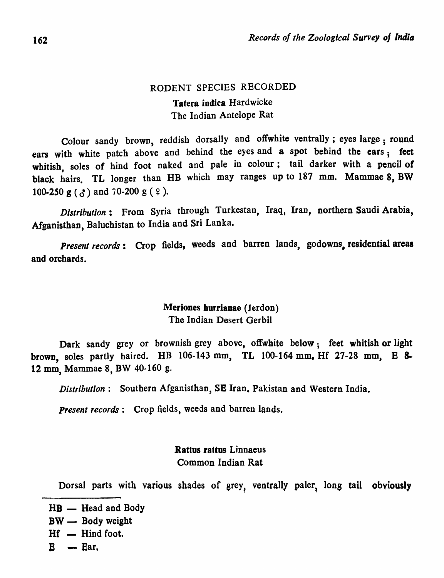# RODENT SPECIES RECORDED Tatera indica Hardwicke The Indian Antelope Rat

Colour sandy brown, reddish dorsally and offwhite ventrally; eyes large; round ears with white patch above and behind the eyes and a spot behind the ears; feet whitish, soles of hind foot naked and pale in colour; tail darker with a pencil of black hairs. TL longer than HB which may ranges up to 187 mm. Mammae 8, BW 100-250 g ( $\zeta$ ) and 70-200 g ( $\zeta$ ).

*Distribution:* From Syria through Turkestan, Iraq, Iran, northern Saudi Arabia, Afganisthan, Baluchistan to India and Sri Lanka.

*Present records:* Crop fields, weeds and barren lands, godowns, residential areas and orchards.

# Meriones hurrianae (Jerdon) The Indian Desert Gerbil

Dark sandy grey or brownish grey above, offwhite below; feet whitish or light brown, soles partly haired. HB 106-143 mm, TL 100-164 mm, Hf 27-28 mm, B S. 12 mm, Mammae 8, BW 40-160 g.

*Distribution:* Southern Afganisthan, SB Iran. Pakistan and Western India.

*Present records:* Crop fields, weeds and barren lands.

## Rattus rattus Linnaeus Common Indian Rat

Dorsal parts with various shades of grey, ventrally paler, long tail obviously

 $HB$  - Head and Body  $BW -$  Body weight  $Hf - H$ ind foot.  $E$   $-$  Ear,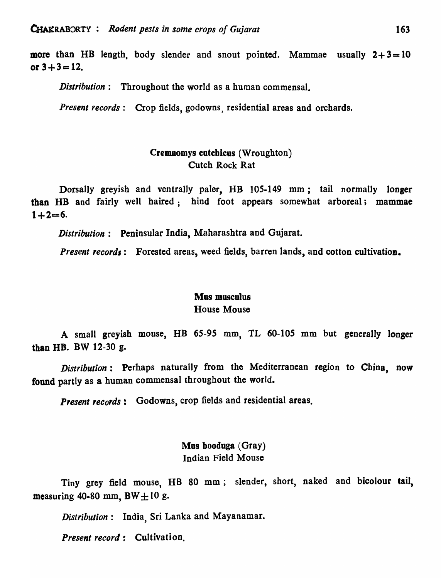more than HB length, body slender and snout pointed. Mammae usually  $2+3=10$ or  $3+3=12$ .

*Distribution:* Throughout the world as a human commensal.

*Present records:* Crop fields, godowns, residential areas and orchards.

## Cremnomys cutcbicus (Wroughton) **Cutch Rock Rat**

Dorsally greyish and ventrally paler, HB 105-149 mm; tail normally longer than HB and fairly well haired; hind foot appears somewhat arboreal; mammae  $1 + 2 = 6.$ 

*Distribution:* Peninsular India, Maharashtra and Gujarat.

*Present records*: Forested areas, weed fields, barren lands, and cotton cultivation.

### Mus musculus

### House Mouse

A small greyish mouse, HB 65-95 mm, TL 60-105 mm but generally longer than HD. BW 12-30 g.

*Distribution:* Perhaps naturally from the Mediterranean region to China, now found partly as a human commensal throughout the world.

*Present records:* Godowns, crop fields and residential areas.

Mus booduga (Gray) Indian Field Mouse

Tiny grey field mouse, HB 80 mm ; slender, short, naked and bicolour tail, measuring 40-80 mm, BW $\pm$ 10 g.

Distribution: India, Sri Lanka and Mayanamar.

*Present record:* Cultivation.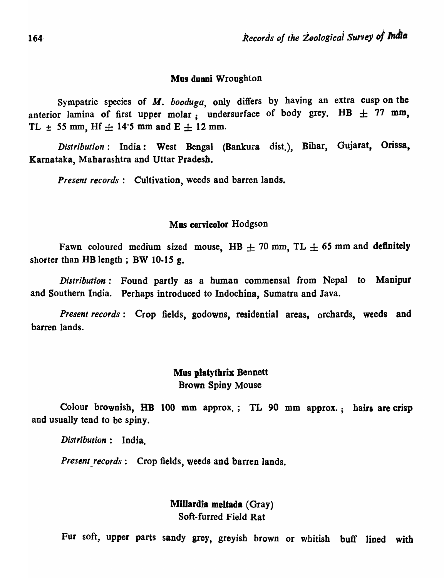### Mus dunni Wroughton

Sympatric species of *M. booduga,* only differs by having an extra cusp on the anterior lamina of first upper molar, undersurface of body grey. HB  $\pm$  77 mm, TL  $\pm$  55 mm, Hf  $\pm$  14.5 mm and E  $\pm$  12 mm.

*Distribution:* India: West Bengal (Bankura dist.), Bihar, Gujarat, Orissa, Karnataka, Maharashtra and Uttar Pradesb.

*Present records:* Cultivation, weeds and barren lands.

### Mus cervicolor Hodgson

Fawn coloured medium sized mouse, HB  $\pm$  70 mm, TL  $\pm$  65 mm and definitely shorter than HB length; BW 10-15 g.

*Distribution:* Found partly as a human commensal from Nepal to Manipur and Southern India. Perhaps introduced to Indochina, Sumatra and Java.

*Present records*: Crop fields, godowns, residential areas, orchards, weeds and barren lands.

# Mus platythrix Bennett Brown Spiny Mouse

Colour brownish, HB 100 mm approx.; TL 90 mm approx.; hairs are crisp and usually tend to be spiny.

*Distribution:* India.

*Present records:* Crop fields, weeds and barren lands.

Millardia meltada (Gray) Soft-furred Field Rat

Fur soft, upper parts sandy grey, greyish brown or whitish buff lined with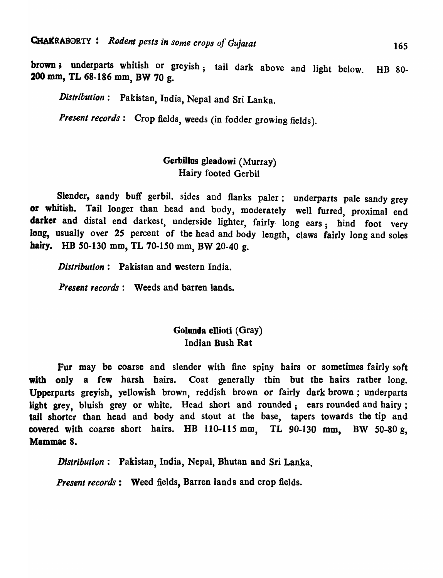brown; underparts whitish or greyish; tail dark above and light below. HB 80-200 mm, TL 68-186 mm, BW 70 g.

*Distribution:* Pakistan, India, Nepal and Sri Lanka.

*Present records:* Crop fields, weeds (in fodder growing fields).

# Gerbillus gleadowj (Murray) Hairy footed Gerbil

Slender, sandy buff gerbil. sides and flanks paler; underparts pale sandy grey or whitish. Tail longer than head and body, moderately well furred, proximal end darker and distal end darkest, underside lighter, fairly long ears; hind foot very long, usually over 25 percent of the head and body length, claws fairly long and soles hairy. HB 50-130 mm, TL 70-150 mm, BW 20-40 g.

*Distribution:* Pakistan and western India.

*Present records:* Weeds and barren lands.

## Golunda ellioti (Gray) Indian Bush Rat

Fur may be coarse and slender with fine spiny hairs or sometimes fairly soft with only a few harsh hairs. Coat generally thin but the hairs rather long. Upperparts greyish, yellowish brown, reddish brown or fairly dark brown; underparts light grey, bluish grey or white. Head short and rounded; ears rounded and hairy; tail shorter than head and body and stout at the base, tapers towards the tip and covered with coarse short hairs. HB 110-115 mm, TL 90-130 mm, BW *50-80* g, Mammae 8.

*Distribution*: Pakistan, India, Nepal, Bhutan and Sri Lanka.

*Present records*: Weed fields, Barren lands and crop fields.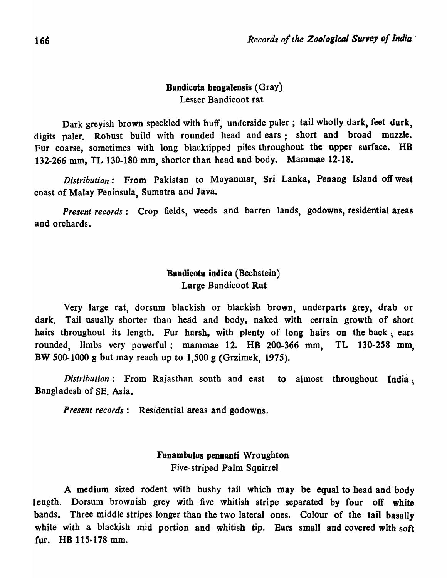# Bandicota bengalensis (Gray) Lesser Bandicoot rat

Dark grevish brown speckled with buff, underside paler; tail wholly dark, feet dark, digits paler. Robust build with rounded head and ears; short and broad muzzle. Fur coarse, sometimes with long blacktipped piles througbout the upper surface. HB 132-266 mm, TL 130-180 mm, shorter than head and body. Mammae 12-18.

*Distribution:* From Pakistan to Mayanmar, Sri Lanka, Penang Island off west coast of Malay Peninsula, Sumatra and Java.

*Present records:* Crop fields, weeds and barren lands, godowns, residential areas and orchards.

## Bandicota indica (Bechstein) Large Bandicoot Rat

Very large rat, dorsum blackish or blackish brown, underparts grey, drab or dark. Tail usually shorter than head and body, naked with certain growth of short hairs throughout its length. Fur harsh, with plenty of long hairs on the back; ears rounded, limbs very powerful; mammae 12. HB 200-366 mm, TL 130-258 mm, BW 500-1000 g but may reach up to 1,500 g (Grzimek, 1975).

*Distribution*: From Rajasthan south and east to almost throughout India; Bangladesh of SE. Asia.

*Present records:* Residential areas and godowns.

# Funambulus pennanti Wroughton Five-striped Palm Squirrel

A medium sized rodent with bushy tail which may be equal to head and body length. Dorsum brownish grey with five whitish stripe separated by four off white bands. Three middle stripes longer than the two lateral ones. Colour of the tail basally white with a blackish mid portion and whitish tip. Ears small and covered with soft fur.  $HB$  115-178 mm.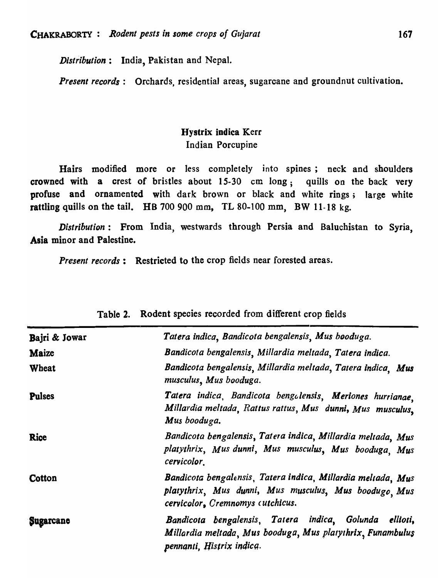*Distribution:* India, Pakistan and Nepal.

*Present records*: Orchards, residential areas, sugarcane and ground nut cultivation.

# Hystrix indica Kerr Indian Porcupine

Hairs modified more or less completely into spines; neck and shoulders crowned with a crest of bristles about 15-30 em long; quills on the back very profuse and ornamented with dark brown or black and white rings; large white rattling quills on the tail. HB 700 900 mm, TL 80-100 mm, BW 11-18 kg.

*Distribution:* From India, westwards through Persia and Baluchistan to Syria, Asia minor and Palestine.

*Present records*: Restricted to the crop fields near forested areas.

| Bajri & Jowar | Tatera indica, Bandicota bengalensis, Mus booduga.                                                                                                       |  |  |
|---------------|----------------------------------------------------------------------------------------------------------------------------------------------------------|--|--|
| Maize         | Bandicota bengalensis, Millardia meltada, Tatera indica.                                                                                                 |  |  |
| Wheat         | Bandicota bengalensis, Millardia meltada, Tatera indica. Mus<br>musculus, Mus booduga.                                                                   |  |  |
| <b>Pulses</b> | Tatera indica, Bandicota bengalensis, Meriones hurrianae,<br>Millardia meltada, Rattus rattus, Mus dunni, Mus musculus,<br>Mus booduga.                  |  |  |
| <b>Rice</b>   | Bandicota bengalensis, Tatera indica, Millardia meltada, Mus<br>platythrix, Mus dunni, Mus musculus, Mus booduga, Mus<br>cervicolor.                     |  |  |
| Cotton        | Bandicota bengalensis, Tatera indica, Millardia meltada, Mus<br>platythrix, Mus dunni, Mus musculus, Mus boodugo Mus<br>cervicolor, Cremnomys cutchicus. |  |  |
| Sugarcane     | Bandicota bengalensis, Tatera indica, Golunda ellioti,<br>Millardia meltada, Mus booduga, Mus platythrix, Funambulus<br>pennanti, Histrix indica.        |  |  |

|  | Table 2. Rodent species recorded from different crop fields |  |  |  |
|--|-------------------------------------------------------------|--|--|--|
|--|-------------------------------------------------------------|--|--|--|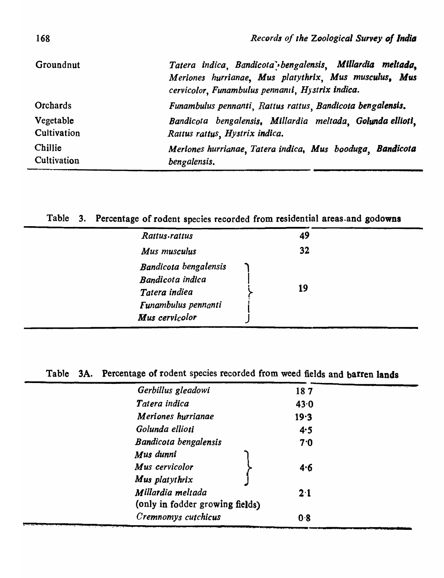| Groundnut       | Tatera indica, Bandicota bengalensis, Millardia meltada,<br>Meriones hurrianae, Mus platythrix, Mus musculus, Mus<br>cervicolor, Funambulus pennanii, Hystrix indica. |
|-----------------|-----------------------------------------------------------------------------------------------------------------------------------------------------------------------|
| <b>Orchards</b> | Funambulus pennanti, Rattus rattus, Bandicota bengalensis.                                                                                                            |
| Vegetable       | Bandicota bengalensis, Millardia meltada, Golunda ellioti,                                                                                                            |
| Cultivation     | Rattus rattus, Hystrix indica.                                                                                                                                        |
| Chillie         | Meriones hurrianae, Tatera indica, Mus booduga, Bandicota                                                                                                             |
| Cultivation     | bengalensis.                                                                                                                                                          |

# Table 3. Percentage of rodent species recorded from residential areas.and godowns

| Rattus.rattus                                                                     | 49 |  |
|-----------------------------------------------------------------------------------|----|--|
| Mus musculus                                                                      | 32 |  |
| Bandicota bengalensis<br>Bandicota indica<br>Tatera indiea<br>Funambulus pennanti | 19 |  |
| Mus cervicolor                                                                    |    |  |
|                                                                                   |    |  |

Table 3A. Percentage of rodent species recorded from weed fields and barren lands

| Gerbillus gleadowi              | 187  |
|---------------------------------|------|
| Tatera indica                   | 43.0 |
| Meriones hurrianae              | 19.3 |
| Golunda ellioti                 | 4.5  |
| <b>Bandicota bengalensis</b>    | 7.0  |
| Mus dunni                       |      |
| Mus cervicolor                  | 4.6  |
| Mus platythrix                  |      |
| Millardia meltada               | 2.1  |
| (only in fodder growing fields) |      |
| Cremnomys cutchicus             | 0.8  |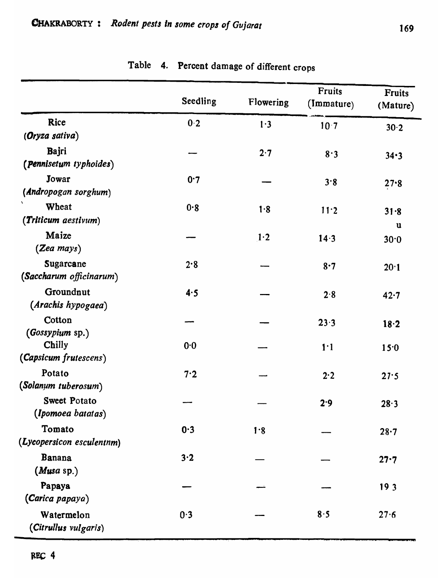|                                          | Seedling | Flowering | <b>Fruits</b><br>(Immature) | <b>Fruits</b><br>(Mature) |
|------------------------------------------|----------|-----------|-----------------------------|---------------------------|
| Rice                                     | 0.2      | 1.3       | 10.7                        | 30.2                      |
| (Oryza sativa)                           |          |           |                             |                           |
| Bajri<br>(Pennisetum typhoides)          |          | 2.7       | 8.3                         | 34.3                      |
| Jowar<br>(Andropogan sorghum)            | 0.7      |           | 3.8                         | $27 - 8$                  |
| $\pmb{\zeta}$<br>Wheat                   | 0.8      | 1.8       | 11.2                        |                           |
| (Triticum aestivum)                      |          |           |                             | 31.8<br>u                 |
| Maize<br>$(Zea \; mays)$                 |          | 1.2       | 14.3                        | 30.0                      |
| Sugarcane<br>(Saccharum officinarum)     | 2.8      |           | 8.7                         | 20.1                      |
| Groundnut<br>(Arachis hypogaea)          | 4.5      |           | 2.8                         | 42.7                      |
| Cotton<br>(Gossypium sp.)                |          |           | 23.3                        | 18.2                      |
| Chilly<br>(Capsicum frutescens)          | 0.0      |           | 1 <sup>1</sup>              | 15.0                      |
| Potato<br>(Solanum tuberosum)            | 7.2      |           | 2.2                         | 27.5                      |
| <b>Sweet Potato</b><br>(Ipomoea batatas) |          |           | 2.9                         | 28.3                      |
| Tomato<br>(Lycopersicon esculentnm)      | 0.3      | 1.8       |                             | 28.7                      |
| <b>Banana</b><br>(Musa sp.)              | 3.2      |           |                             | 27.7                      |
| Papaya<br>(Carica papaya)                |          |           |                             | 19 <sub>3</sub>           |
| Watermelon<br>(Citrullus vulgaris)       | 0.3      |           | 8.5                         | 27.6                      |

# Table 4. Percent damage of different crops

M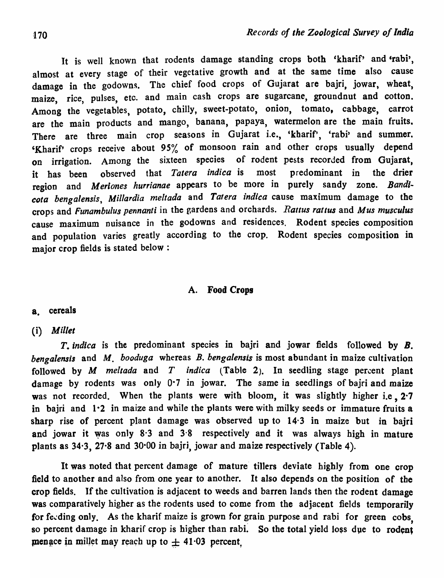It is well known that rodents damage standing crops both 'kharif' and 'rabi', almost at every stage of their vegetative growth and at the same time also cause damage in the godowns. The chief food crops of Gujarat are bajri, jowar, wheat, maize, rice, pulses, etc. and main cash crops are sugarcane, groundnut and cotton. Among the vegetables, potato, chilly, sweet-potato, onion, tomato, cabbage, carrot are the main products and mango, banana, papaya, watermelon are the main fruits. There are three main crop seasons in Gujarat i.e., 'kharif', 'rabi' and summer. 'Kharif' crops receive about 95% of monsoon rain and other crops usually depend on irrigation. Among the sixteen species of rodent pests recorded from Gujarat, it has been observed that *Tatera indica* is most predominant in the drier region and *Meriones hurrianae* appears to be more in purely sandy zone. Bandi*cola bengalensis, Millardia meltada* and *Tarera indica* cause maximum damage to the crops and *Funambulus pennanti* in tbe gardens and orchards. *Rattus rattus* and *Mus musculus*  cause maximum nuisance in the godowns and residences. Rodent species composition and population varies greatly according to the crop. Rodent species composition in major crop fields is stated below:

## A. Food Crops

## a. cereals

## (i) *Millet*

*T. indica* is the predominant species in bajri and jowar fields followed by *B. bengalensis* and M. *booduga* whereas *B. bengalensis* is most abundant in maize cultivation followed by  $M$  meltada and  $T$  indica (Table 2). In seedling stage percent plant damage by rodents was only 0.7 in jowar. The same in seedlings of bajri and maize was not recorded. When the plants were with bloom, it was slightly higher i.e. 2.7 in bajri and 1.2 in maize and while the plants were with milky seeds or immature fruits a sharp rise of percent plant damage was observed up to  $14·3$  in maize but in bairi and jowar it was only 8·3 and 3·8 respectively and it was always high in mature plants as 34-3, 27-8 and 30·00 in bajri, jowar and maize respectively (Table 4)-

It was noted that percent damage of mature tillers deviate highly from one crop field to another and also from one year to another. It also depends on the position of the crop fields. If the cultivation is adjacent to weeds and barren lands then the rodent damage was comparatively higher as the rodents used to come from the adjacent fields temporarily for feeding only. As the kharif maize is grown for grain purpose and rabi for green cobs so percent damage in kharif crop is higher than rabi. So the total yield loss due to rodent menace in millet may reach up to  $\pm$  41.03 percent,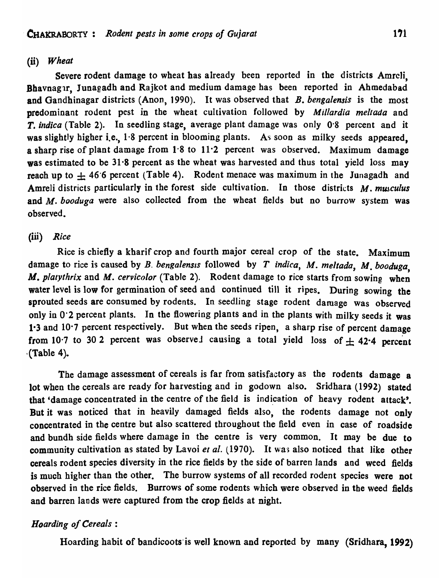## (ii) *Wheat*

Severe rodent damage to wheat has already been reported in the districts Amrcli, Bhavnagar, Junagadh and Rajkot and medium damage has been reported in Ahmedabad and Gandhinagar districts (Anon, 1990). It was observed that *B. bengalensis* is the most predominant rodent pest in the wheat cultivation followed by *Millardia meltada* and T. *indica* (Table 2). In seedling stage, average plant damage was only 0·8 percent and it was slightly higher i.e.,  $1.8$  percent in blooming plants. As soon as milky seeds appeared, a sharp rise of plant damage from  $1.8$  to  $11.2$  percent was observed. Maximum damage was estimated to be 31.8 percent as the wheat was harvested and thus total yield loss may reach up to  $\pm$  46.6 percent (Table 4). Rodent menace was maximum in the Junagadh and Amreli districts particularly in the forest side cultivation. In those districts M. musculus and M. *booduga* were also collected from the wheat fields but no burrow system was observed.

### (iii) *Rice*

Rice is chiefly a kharif crop and fourth major cereal crop of the state. Maximum damage to rice is caused by *B. bengalensis* followed by *T indica*, *M. meltada*, *M. booduga*, *M. platythrix* and M. *cervicolor* (Table 2). Rodent damage to rice starts from sowing when water level is low for germination of seed and continued till it ripes. During sowing the sprouted seeds are consumed by rodents. In seedling stage rodent damage was observed only in 0'2 percent plants. In the flowering plants and in the plants with milky seeds it was 1.3 and 10.7 percent respectively. But when the seeds ripen, a sharp rise of percent damage from 10.7 to 30 2 percent was observed causing a total yield loss of  $\pm$  42.4 percent ·(Table 4).

The damage assessment of cereals is far from satisfactory as the rodents damage a lot when the cereals are ready for harvesting and in godown also. Sridhara (1992) stated that 'damage concentrated in the centre of the field is indication of heavy rodent attack'. But it was noticed that in heavily damaged fields also, the rodents damage not only concentrated in the centre but also scattered throughout the field even in case of roadside and bundh side fields where damage in the centre is very common. It may be due to community cultivation as stated by Lavoi et al. (1970). It was also noticed that like other cereals rodent species diversity in the rice fields by the side of barren lands and weed fields is much higher than the other. The burrow systems of all recorded rodent species were not observed in the rice fields. Burrows of some rodents which were observed in the weed fields and barren lands were captured from the crop fields at night.

## *Hoarding of Cereals:*

Hoarding habit of bandicoots is well known and reported by many (Sridhara, 1992)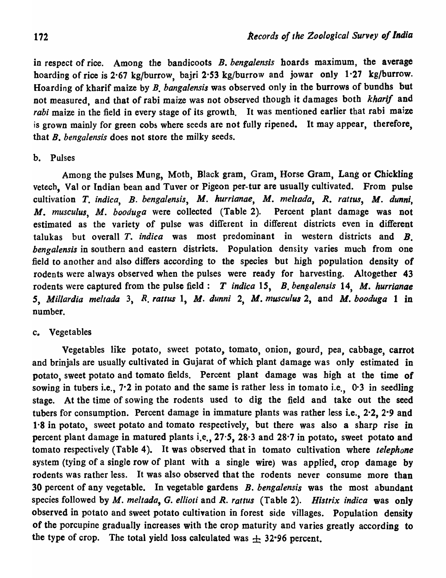in respect of rice. Among the bandicoots B. *bengalensis* hoards maximum, the average hoarding of rice is 2·67 kg/burrow, bajri 2·53 kg/burrow and jowar only 1·27 kg/burrow. Hoarding of kharif maize by B. *bangalensis* was observed only in the burrows of bundhs but not measured, and that of rabi maize was not observed though it damages both *kharif* and rabi maize in the field in every stage of its growth. It was mentioned earlier that rabi maize is grown mainly for green cobs where seeds are not fully ripened. It may appear, therefore, that B. *bengalensis* does not store the milky seeds.

### b. Pulses

Among the pulses Mung, Moth, Black gram, Gram, Horse Gram, Lang or Chickling vetech, Valor Indian bean and Tuver or Pigeon per-tur are usually cultivated. From pulse cultivation *T. indica*, *B. bengalensis*, *M. hurrianae*, *M. meltada*, *R. rattus*, *M. dunni*. *M. musculus, M. booduga* were collected (Table 2). Percent plant damage was not estimated as the variety of pulse was different in different districts even in different talukas but overall *T. indica* was most predominant in western districts and *B. bengalensis* in southern and eastern districts. Population density varies much from one field to another and also differs according to the species but high population density of rodents were always observed when the pulses were ready for harvesting. Altogether 43 rodents were captured from the pulse field: *T indica 15, B. bengalensis* 14, *M. hurrianae S, Millardia meltada* 3, *R. ratlus* 1, *M. dunni* 2, *M\_ musculus* 2, and *M. booduga* 1 in number.

### c. Vegetables

Vegetables like potato, sweet potato, tomato, onion, gourd, pea, cabbage, carrot and brinjals are usually cultivated in Gujarat of which plant damage was only estimated in potato, sweet potato and tomato fields. Percent plant damage was high at the time of sowing in tubers i.e., 7.2 in potato and the same is rather less in tomato i.e., 0.3 in seedling stage. At the time of sowing the rodents used to dig the field and take out the seed tubers for consumption. Percent damage in immature plants was rather less i.e., 2·2, 2-9 and 1-S in potato, sweet potato and tomato respectively, but there was also a sharp rise in percent plant damage in matured plants i.e., *27·5,* 28·3 and 28·7 in potato, sweet potato and tomato respectively (Table 4). It was observed that in tomato cultivation where *telephone*  system (tying of a single row of plant with a single wire) was applied, crop damage by rodents was rather less. It was also observed that the rodents never consume more than 30 percent of any vegetable. In vegetable gardens *B. bengalensis* was the most abundant species followed by *M. meltada, G. ellioti* and R. *rattus* (Table 2). *Histrix indica* was only observed in potato and sweet potato cultivation in forest side villages. Population density of the porcupine gradually increases with the crop maturity and varies greatly according to the type of crop. The total yield loss calculated was  $\pm$  32.96 percent.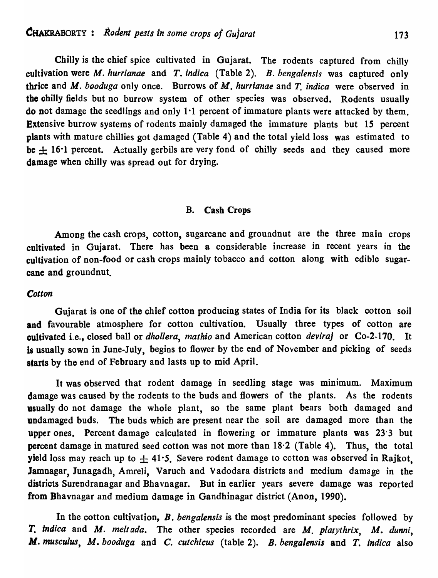Chilly is the chief spice cultivated in Gujarat. The rodents captured from chilly cultivation were M. *hurrianae* and *T. indica* (Table 2). B. *bengalensis* was captured only thrice and *M. booduga* only once. Burrows of M. *hurrianae* and *T. indica* were observed in the chilly fields but no burrow system of other species was observed. Rodents usually do not damage the seedlings and only  $1.1$  percent of immature plants were attacked by them. Extensive burrow systems of rodents mainly damaged the immature plants but *15* percent plants with mature chillies got damaged (Table 4) and the total yield loss was estimated to be  $\pm$  16<sup>·</sup>1 percent. Actually gerbils are very fond of chilly seeds and they caused more damage when chilly was spread out for drying.

### B. Cash Crops

Among the cash crops, cotton, sugarcane and groundnut are the three main crops cultivated in Gujarat. There has been a considerable increase in recent years in the cultivation of non-food or cash crops mainly tobacco and cotton along with edible sugarcane and groundnut.

### *Cotton*

Gujarat is one of the chief cotton producing states of India for its black cotton soil and favourable atmosphere for cotton cultivation. Usually three types of cotton are cultivated i.e., closed ball or *dhollera, mathio* and American cotton *deviraj* or Co-2-170. It is usually sown in June-July, begins to flower by the end of November and picking of seeds starts by the end of February and lasts up to mid April.

It was observed that rodent damage in seedling stage was minimum. Maximum damage was caused by the rodents to the buds and flowers of the plants. As the rodents usually do not damage the whole plant, so the same plant bears both damaged and undamaged buds. The buds which are present near the soil are damaged more than the upper ones. Percent damage calculated in flowering 'or immature plants was 23'3 but percent damage in matured seed cotton was not more than 18·2 (Table 4). Thus, the total yield loss may reach up to  $\pm$  41.5. Severe rodent damage to cotton was observed in Rajkot, Jamnagar, Junagadh, Amreli, Varuch and Vadodara districts and medium damage in the districts Surendranagar and Bhavnagar. But in earlier years severe damage was reported from Bhavnagar and medium damage in Gandhinagar district (Anon, 1990).

In the cotton cultivation, B. *bengalensis* is the most predominant species followed by T. *indica* and M. *melt ada.* The other species recorded are M. *platythrix,* M. *dunni,*  M. *musculus,* M. *booduga* and C. *cutchicus* (table 2). *B. bengalensis* and *T. indica* also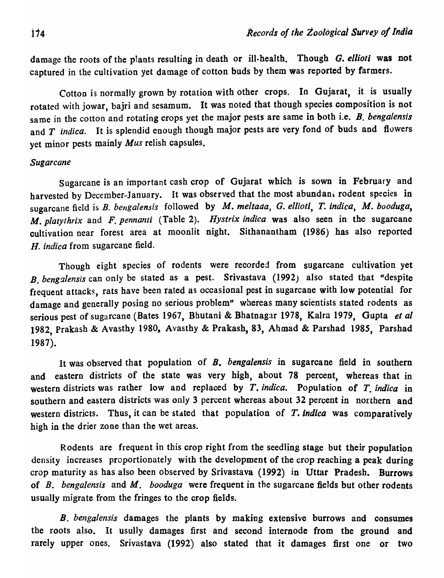damage the roots of the p1ants resulting in death or ill-health. Though *G. ellioti* was not captured in the cultivation yet damage of cotton buds by them was reported by farmers.

Cotton is normally grown by rotation with other crops. In Gujarat, it is usually rotated with jowar, bajri and sesamum. It was noted that though species composition is not sa me in the cotton and rotating crops yet the major pests are same in both i.e. B. *bengalensis*  and *T indica.* It is splendid enough though major pests are very fond of buds and flowers yet minor pests mainly *Mus* relish capsules.

### *Sugarcane*

Sugarcane is an important cash crop of Gujarat which is sown in February and harvested by December-January. It was observed that the most abundani. rodent species in sugarcane field is *B. bengalensis* followed by *M. meltada, G. ellioti, T. indica, M. booduga*, M. *platythrix* and F. *pennanti* (Table 2). *Hystrix indica* was also seen in the sugarcane cultivation near forest area at moonlit night. Sithanantham (1986) has also reported H. *indica* from sugarcane field.

Though eight species of rodents were recorded from sugarcane cultivation yet B. *bengalensis* can only be stated as a pest. Srivastava (1992) also stated that "despite frequent attacks, rats have been rated as occasional pest in sugarcane with low potential for damage and generally posing no serious problem" whereas many scientists stated rodents as serious pest of sugarcane (Bates 1967, Bhutani & Bhatnagar 1978, Kalra 1979, Gupta *et al*  1982, Prakash & Avasthy 1980, Avasthy & Prakash, 83, Ahmad & Parshad 1985, Parshad 1987).

It was observed that population of B. *bengaiensis* in sugarcane field in southern and eastern districts of the state was very high, about 78 percent, whereas that in western districts was rather low and replaced by T. *indica.* Population of T. *indica* in southern and eastern districts was only 3 percent whereas about 32 percent in northern and western districts. Thus, it can be stated that population of  $T$ . *indica* was comparatively high in the drier zone than the wet areas.

Rodents are frequent in this crop right from the seedling stage but their population density increases proportionately with the development of the crop reaching a peak during crop maturity as has also been observed by Srivastava (1992) in Uttar Pradesh. Burrows of *B. bengalensis* and *M. booduga* were frequent in the sugarcane fields but other rodents usually migrate from the fringes to the crop fields.

*B. bengalensis* damages the plants by making extensive burrows and consumes the roots also. It usully damages first and second internode from the ground and rarely upper ones. Srivastava (1992) also stated that it damages first one or two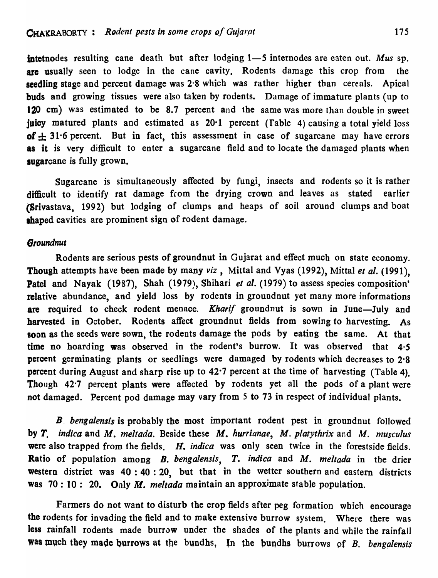intetnodes resulting cane death but after lodging 1-5 internodes are eaten out. Mus sp. are usually seen to lodge in the cane cavity. Rodents damage this crop from the seedling stage and percent damage was 2·8 which was rather higher tban cereals. Apical buds and growing tissues were also taken by rodents. Damage of immature plants (up to 120 em) was estimated to be 8.7 percent and the same was more than double in sweet juicy matured plants and estimated as 20<sup>-</sup>1 percent (Table 4) causing a total yield loss of  $\pm$  31.6 percent. But in fact, this assessment in case of sugarcane may have errors as it is very difficult to enter a sugarcane field and to locate the damaged plants when sugarcane is fully grown.

Sugarcane is simultaneously affected by fungi, insects and rodents so it is rather difficult to identify rat damage from the drying crown and leaves as stated earlier (Srivastava, 1992) but lodging of clumps and beaps of soil around clumps and boat shaped cavities are prominent sign of rodent damage.

### *6roundnut*

Rodents are serious pests of groundnut in Gujarat and effect much on state economy. Though attempts have been made by many *viz*, Mittal and Vyas (1992), Mittal *et al.* (1991). Patel and Nayak (1987), Shah (1979), Shihari *et al.* (1979) to assess species composition' relative abundance, and yield loss by rodents in groundnut yet many more informations are required to check rodent menace. *Kharif* groundnut is sown in June-July and harvested in October. Rodents affect groundnut fields from sowing to harvesting. As soon as the seeds were sown, the rodents damage the pods by eating the same. At that time no hoarding was observed in the rodent's burrow. It was observed that 4·5 percent germinating plants or seedlings were damaged by rodents which decreases to 2·8 percent during August and sharp rise up to  $42.7$  percent at the time of harvesting (Table 4). Though 42'7 percent plants were affected by rodents yet all the pods of a plant were not damaged. Percent pod damage may vary from 5 to 73 in respect of individual plants.

*B. bengalensis* is probably the most important rodent pest in groundnut followed by *T. indica* and *M. meltada.* Beside these *M. hurrianae, M. platythrix* and M. *musculus*  were also trapped from the fields. H. *indica* was only seen twice in the forestside fields. Ratio of population among B. *bengalensis,* T. *indica* and M. *meltada* in the drier western district was  $40:40:20$ , but that in the wetter southern and eastern districts was 70: 10: 20. Only M. *meltada* maintain an approximate stable population.

Farmers do not want to disturb the crop fields after peg formation which encourage the rodents for invading the field and to make extensive burrow system. Where there was less rainfall rodents made burrow under the shades of the plants and while the rainfall was much they made burrows at the bundhs, In the bundhs burrows of *B. bengalensis*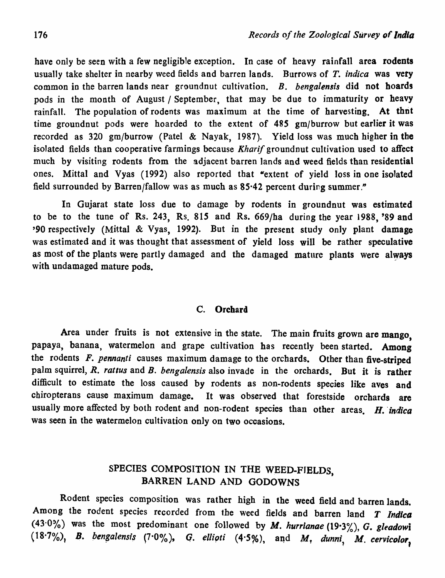have only be seen with a few negligible exception. In case of heavy rainfall area rodents usually take shelter in nearby weed fields and barren lands. Burrows of *T. indica* was very common in the barren lands near groundnut cultivation. B. *bengalensis* did not hoards pods in the month of August / September, that may be due to immaturity or heavy rainfall. The population of rodents was maximum at the time of harvesting. At thot time groundnut pods were hoarded to the extent of 485 gm/burrow but earlier it was recorded as 320 gm/burrow (Patel & Nayak, 1987). Yield loss was much higher in the isolated fields than cooperative farmings because *Kharif* groundnut cultivation used to affect much by visiting rodents from the adjacent barren lands and weed fields than residential ones. Mittal and Vyas (1992) also reported that "extent of yield loss in one isolated field surrounded by Barren/fallow was as much as 85·42 percent during summer."

In Gujarat state loss due to damage by rodents in groundnut was estimated to be to the tune of Rs. 243, Rs. 815 and Rs. 669/ha during the year 1988, '89 and '90 respectively (Mittal & Vyas, 1992). But in the present study only plant damage was estimated and it was thought that assessment of yield loss will be rather speculative as most of the plants were partly damaged and the damaged mature plants were always with undamaged mature pods.

### c. Orchard

Area under fruits is not extensive in the state. The main fruits grown are mango, papaya, banana, watermelon and grape cultivation has recently been started. Among the rodents F. *pennanti* causes maximum damage to the orchards. Other than five-striped palm squirrel, *R. rattus* and *B. bengalensis* also invade in the orchards. But it is rather difficult to estimate the loss caused by rodents as non-rodents species like aves and chiropterans cause maximum damage. It was observed that forestside orchards are usually more affected by both rodent and non-rodent species than other areas. H. *indica* was seen in the watermelon cultivation only on two occasions.

# SPECIES COMPOSITION IN THE WEED-FIELDS, BARREN LAND AND GODOWNS

Rodent species composition was rather high in the weed field and barren lands. Among the rodent species recorded from the weed fields and barren land T *Indica*  (43.0%) was the most predominant one followed by *M. hurrianae* (19.3%), *G. gleadowi*  $(18.7\%)$ , *B. bengalensis* (7.0%), *G. ellioti*  $(4.5\%)$ , and *M, dunni*, *M. cervicolor*,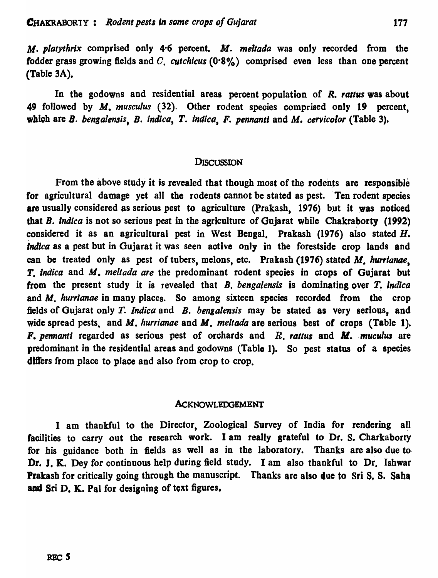M. *platythrlx* comprised only 4·6 percent. M. *meltada* was only recorded from the fodder grass growing fields and C. *cutchicus* (0.8%) comprised even less than one percent (Table 3A).

In the godowns and residential areas percent population of *R. rattus* was about 49 followed by M. *musculus* (32). Other rodent species comprised only 19 percent, which are B. bengalensis, B. *indica*, T. *indica*, F. pennanti and M. cervicolor (Table 3).

### **DISCUSSION**

From the above study it is revealed that though most of the rodents are responsible for agricultural damage yet all the rodents cannot be stated as pest. 'Ten rodent species are usually considered as serious pest to agriculture (Prakash, 1976) but it was noticed that B. *indica* is not so serious pest in the agriculture of Gujarat while Chakraborty (1992) considered it as an agricultural pest in West Bengal. Prakash (1976) also stated  $H$ . *Indica* as a pest but in Oujarat it was seen active only in the forestside crop lands and can be treated only as pest of tubers, melons, etc. Prakash (1976) stated M. *hurrianae.*  T. *Indica* and M. *meltada are* the predominant rodent species in crops of Gujarat but from the present study it is revealed that B. *bengalensis* is dominating over T. *indica* and M. *hurrianae* in many places. So among sixteen species recorded from the crop fields of Gujarat only T. *Indica* and B. *bengalensis* may be stated as very serious, and wide spread pests, and M. hurrianae and M. meltada are serious best of crops (Table 1). F. pennanti regarded as serious pest of orchards and R. rattus and M. muculus are predominant in the residential areas and godowns (Table 1). So pest status of a species differs from place to place and also from crop to crop.

#### AcKNOWLEDGEMENT

I am thankful to the Director, Zoological Survey of India for rendering all facilities to carry out the research work. I am really grateful to Dr. S. Charkaborty for his guidance both in fields as well as in the laboratory. Thanks are also due to Dr. J. K. Dey for continuous help during field study. I am also thankful to Dr. Ishwar Prakash for critically going through the manuscript. Thanks are also due to Sri S. S. Saha and Sri D. K. Pal for designing of text figures.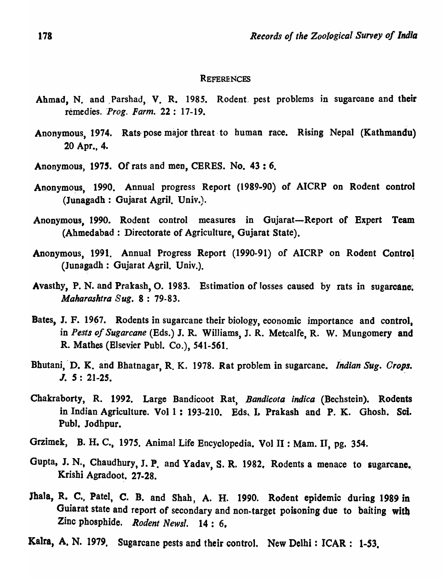### **REFERENCES**

- Ahmad, N. and Parshad, V. R. 1985. Rodent pest problems in sugarcane and their remedies. Prog. Farm. 22: 17-19.
- Anonymous, 1974. Rats pose major threat to human race. Rising Nepal (Kathmandu) 20 Apr., 4.
- Anonymous, 1975. Of rats and men, CERES. No. 43 : 6.
- Anonymous, 1990. Annual progress Report (1989-90) of AICRP on Rodent control (Junagadh : Gujarat Agril. Univ.).
- Anonymous, 1990. Rodent control measures in Gujarat-Report of Expert Team (Ahmedabad: Directorate of Agriculture, Gujarat State).
- Anonymous, 1991. Annual Progress Report (1990-91) of AICRP on Rodent Control (Junagadh: Gujarat Agril. Univ.).
- Avasthy, P. N. and Prakash, O. 1983. Estimation of losses caused by rats in sugarcane. *Maharashtra Sug.* 8 : 79-83.
- Bates, J. F. 1967. Rodents in sugarcane their biology, economic importance and control, in *Pests of Sugarcane* (Eds.) J. R. Williams, J. R. Metcalfe, R. W. Mungomery and R. Mathes (Elsevier Pub]. Co.), 541-561.
- Bhutani, D. K. and Bhatnagar, R. K. 1978. Rat problem in sugarcane. *Indian Sug. Crops.* J. *S: 21-25.*
- Chakraborty, R. 1992. Large Bandicoot Rat. Bandicota indica (Bechstein). Rodents in Indian Agriculture. Vol 1: 193-210. Eds. I. Prakash and P. K. Ghosh. Sci. Pub]. Jodhpur.
- Grzimek, B. H. C., 1975. Animal Life Encyclopedia. Vol II : Mam. II, pg. 354.
- Gupta, J. N., Chaudhury, J. P. and Yadav, S. R. 1982. Rodents a menace to sugarcane. Krishi Agradoot. 27-28.
- Jhala, R. C., Patel, C. B. and Shah, A. H. 1990. Rodent epidemic during 1989 in Guiarat state and report of secondary and non·target poisoning due to baiting with Zinc phosphide. *Rodent Newsl.* 14: 6,
- Kalra, A. N. 1979, Sugarcane pests and their control. New Delhi: ICAR: 1-53,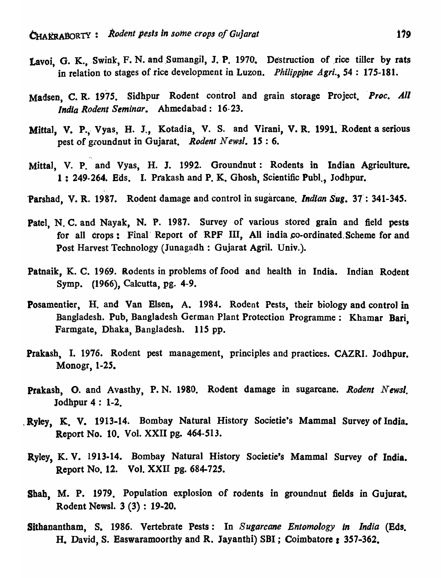",

. '

- Lavoi, G. K., Swink, F. N. and Sumangil, J. P. 1970. Destruction of rice tiller by rats in relation to stages of rice development in Luzon. *Philippine Agri.,* 54 : 175-181.
- Madsen, C. R. 1975. Sidhpur Rodent control and grain storage Project. Proc. All *India Rodent Seminar.* Ahmedabad: 16-23.
- Mittal, V. P., Vyas, H. J., Kotadia, V. S. and Virani, V. R. 1991. Rodent a serious pest of groundnut in Gujarat. *Rodent Newsl*.  $15:6$ .
- Mitta), V. P. and Vyas, H. J. 1992. Groundnut: Rodents in Indian Agriculture. 1: 249-264. Eds. I. Prakash and P. K. Ghosh, Scientific Publ., Jodhpur.
- 'Parshad, V. R. 1987. Rodent damage and control in sugarcane. *Indian Sug.* 37: 341-345.
- Patel, N. C. and Nayak, N. P. 1987. Survey of various stored grain and field pests for all crops: Final Report of RPF III, All india co-ordinated Scheme for and Post Harvest Technology (Junagadh : Gujarat Agril. Univ.).
- Patnaik, K. C. 1969. Rodents in problems of food and health in India. Indian Rodent Symp. (1966), Calcutta, pg. 4-9.
- Posamentier, H. and Van Elsen, A. 1984. Rodent Pests, their biology and control in Bangladesh. Pub, Bangladesh German Plant Protection Programme: Khamar Bari, Farmgate, Dhaka, Bangladesh. 115 pp.
- Prakash, I. 1976. Rodent pest management, principles and practices. CAZRI. Jodhpur. Monogr, 1-25.
- Prakash, O. and Avasthy, P. N. 1980. Rodent damage in sugarcane. Rodent Newsl. Jodhpur  $4: 1-2$ .
- Ryley, K. V. 1913-14. Bombay Natural History Societie's Mammal Survey of India. Report No. 10. Vol. XXII pg. 464-513.
- Ryley, K. V. 1913-14. Bombay Natural History Societie's Mammal Survey of India. Report No. 12. Vol. XXII pg. 684-725.
- Shah, M. P. 1979. Population explosion of rodents in groundnut fields in Gujurat. Rodent Newsl. 3 (3) : 19-20.
- Sithanantham, S. 1986. Vertebrate Pests: In *Sugarcane Entomology* In *India* (Eds. H. David, S. Easwaramoorthy and R. Jayanthi) SBI; Coimbatore: 357-362.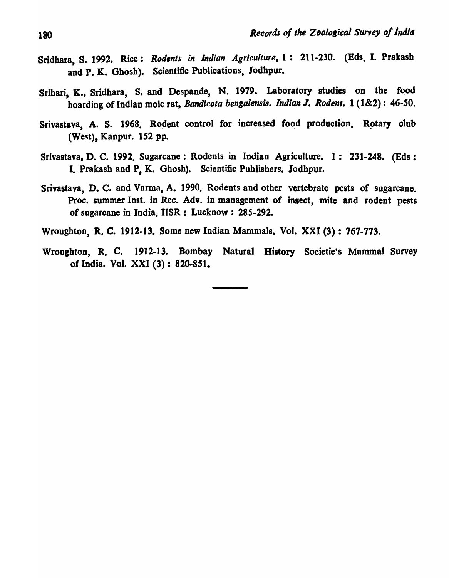- Sridhara, S. 1992. Rice: *Rodents in Indian Agriculture*, 1: 211-230. (Eds. I. Prakash and P. K. Ghosh). Scientific Publications, Jodhpur.
- Srihari, K., Sridhara, S. and Despande, N. 1979. Laboratory studies on the food hoarding of Indian mole rat, *Bandicota bengalensis. Indian J. Rodent.* 1 (1&2): 46-50.
- Srivastava, A. S. 1968. Rodent control for increased food production. Rotary club (West), Kanpur. 152 pp.
- Srivastava, D. C. 1992. Sugarcane: Rodents in Indian Agriculture. 1: 231-248. (Eds: I. Prakash and P, K. Ghosh). Scientific Publishers. Jodhpur.
- Srivastava, D. C. and Varma, A. 1990. Rodents and other vertebrate pests of sugarcane. Proc. summer Inst. in Rec. Adv. in management of insect, mite and rodent pests of sugarcane in India, IISR: Lucknow: 285-292.
- Wroughton, R. C. 1912-13. Some new Indian Mammals. Vol. XXI (3) : 767-773.
- Wroughton, R. C. 1912-13. Bombay Natural History Societie's Mammal Survey of India. Vol. XXI (3): 820-851.